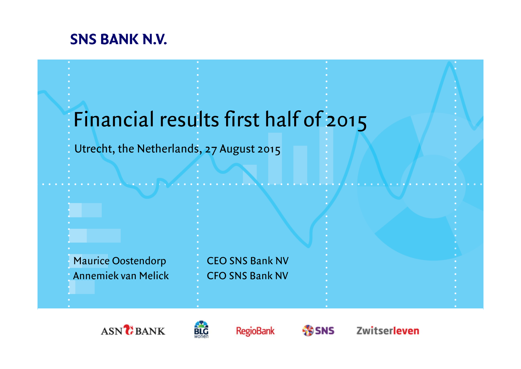## **SNS BANK N.V.**

# Financial results first half of 2015

### Utrecht, the Netherlands, 27 August 2015







**RegioBank** 

**SS SNS** 

Zwitserleven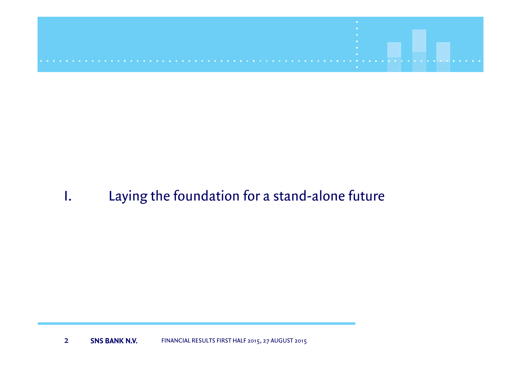

## I. Laying the foundation for a stand-alone future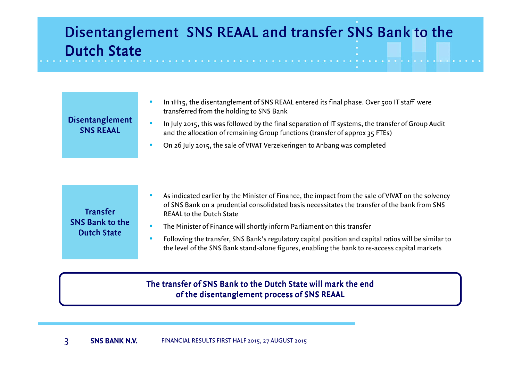## Disentanglement SNS REAAL and transfer SNS Bank to the Dutch State

| <b>Disentanglement</b><br><b>SNS REAAL</b>                      | In 1H15, the disentanglement of SNS REAAL entered its final phase. Over 500 IT staff were<br>transferred from the holding to SNS Bank<br>In July 2015, this was followed by the final separation of IT systems, the transfer of Group Audit<br>and the allocation of remaining Group functions (transfer of approx 35 FTEs)<br>On 26 July 2015, the sale of VIVAT Verzekeringen to Anbang was completed                                                                                                                    |
|-----------------------------------------------------------------|----------------------------------------------------------------------------------------------------------------------------------------------------------------------------------------------------------------------------------------------------------------------------------------------------------------------------------------------------------------------------------------------------------------------------------------------------------------------------------------------------------------------------|
| <b>Transfer</b><br><b>SNS Bank to the</b><br><b>Dutch State</b> | As indicated earlier by the Minister of Finance, the impact from the sale of VIVAT on the solvency<br>of SNS Bank on a prudential consolidated basis necessitates the transfer of the bank from SNS<br><b>REAAL to the Dutch State</b><br>The Minister of Finance will shortly inform Parliament on this transfer<br>Following the transfer, SNS Bank's regulatory capital position and capital ratios will be similar to<br>the level of the SNS Bank stand-alone figures, enabling the bank to re-access capital markets |

#### The transfer of SNS Bank to the Dutch State will mark the end of the disentanglement process of SNS RE<mark>AA</mark>L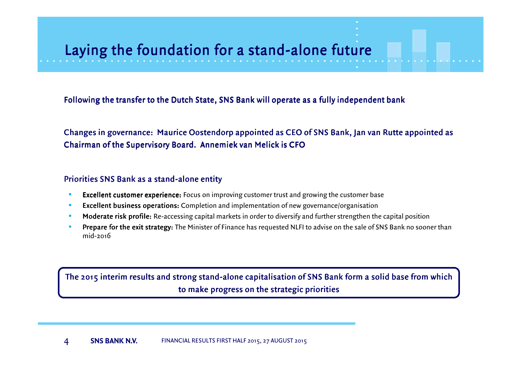## Laying the foundation for a stand-alone future

Following the transfer to the Dutch State, SNS Bank will operate as a fully independent bank

Changes in governance: Maurice Oostendorp appointed as CEO of SNS Bank, Jan van Rutte appointed as Chairman of the Supervisory Board. Annemiek van Melick is CFO

#### Priorities SNS Bank as a stand-alone entity

- •Excellent customer experience: Focus on improving customer trust and growing the customer base
- •Excellent business operations: Completion and implementation of new governance/organisation
- •Moderate risk profile: Re-accessing capital markets in order to diversify and further strengthen the capital position
- • $\bullet$  Prepare for the exit strategy: The Minister of Finance has requested NLFI to advise on the sale of SNS Bank no sooner than mid-2016

The 2015 interim results and strong stand-alone capitalisation of SNS Bank form a solid base from which to make progress on the strategic priorities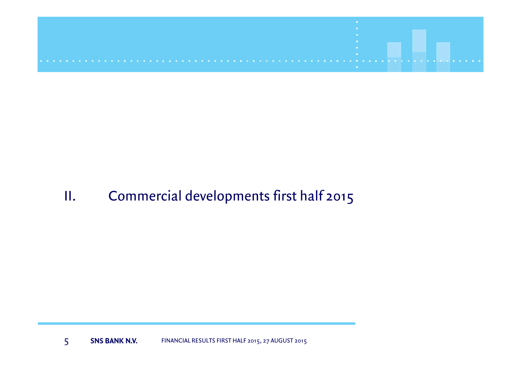

## II. Commercial developments first half 2015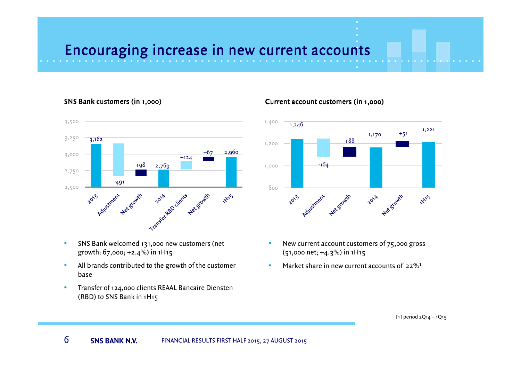## Encouraging increase in new current accounts

#### SNS Bank customers



- • SNS Bank welcomed 131,000 new customers (net growth: 67,000; +2.4%) in 1H15
- • All brands contributed to the growth of the customer base
- $\bullet$  Transfer of 124,000 clients REAAL Bancaire Diensten (RBD) to SNS Bank in 1H15

#### Current account customers (in 1,000)



- • New current account customers of 75,000 gross (51,000 net; +4.3%) in 1H15
- •Market share in new current accounts of  $22\%$ <sup>1</sup>

<sup>[1]</sup> period 2Q14 – 1Q15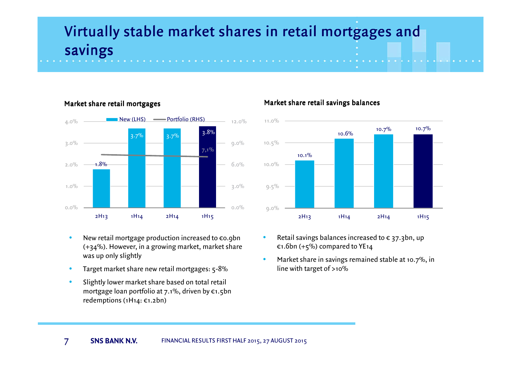## Virtually stable market shares in retail mortgages and savings



#### Market share retail

- • New retail mortgage production increased to €0.9bn (+34%). However, in a growing market, market share was up only slightly
- •Target market share new retail mortgages: 5-8%
- • Slightly lower market share based on total retail mortgage loan portfolio at 7.1%, driven by €1.5bn redemptions (1H14: €1.2bn)

#### Market share retail savings balances



- •Retail savings balances increased to  $\epsilon$  37.3bn, up €1.6bn (+5%) compared to YE14
- • Market share in savings remained stable at 10.7%, in line with target of >10%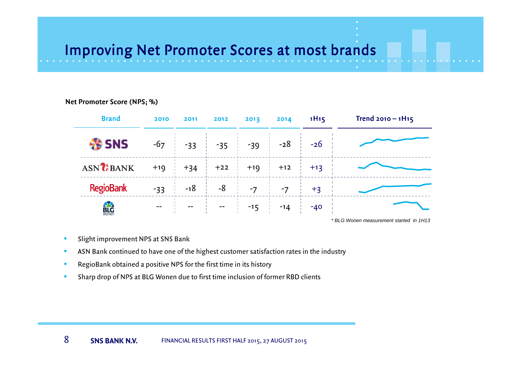## Improving Net Promoter Scores at most brands

#### Net Promoter Score (NPS; %)

| <b>Brand</b>          | 2010  | 2011  | 2012  | 2013  | 2014  | 1H15  | Trend $2010 - 1H_15$                     |
|-----------------------|-------|-------|-------|-------|-------|-------|------------------------------------------|
| <b>SNS</b>            | $-67$ | $-33$ | $-35$ | $-39$ | $-28$ | $-26$ |                                          |
| ASN <sup>2</sup> BANK | $+19$ | $+34$ | $+22$ | $+19$ | $+12$ | $+13$ |                                          |
| <b>RegioBank</b>      | $-33$ | $-18$ | $-8$  | $-7$  | $-7$  | $+3$  |                                          |
| <b>BLG</b><br>Wonen   | --    | $- -$ | $- -$ | $-15$ | $-14$ | $-40$ |                                          |
|                       |       |       |       |       |       |       | * BI G Wonen measurement started in 1H13 |

- •Slight improvement NPS at SNS Bank
- $\bullet$ ASN Bank continued to have one of the highest customer satisfaction rates in the industry
- •RegioBank obtained a positive NPS for the first time in its history
- •Sharp drop of NPS at BLG Wonen due to first time inclusion of former RBD clients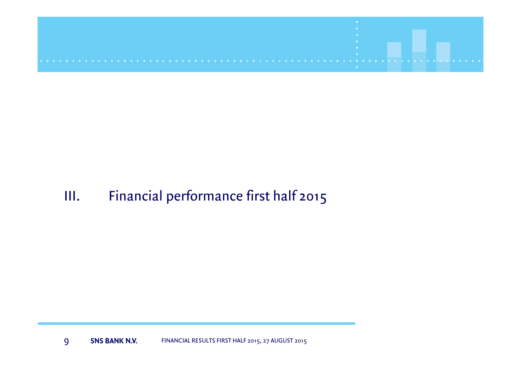

## III. Financial performance first half 2015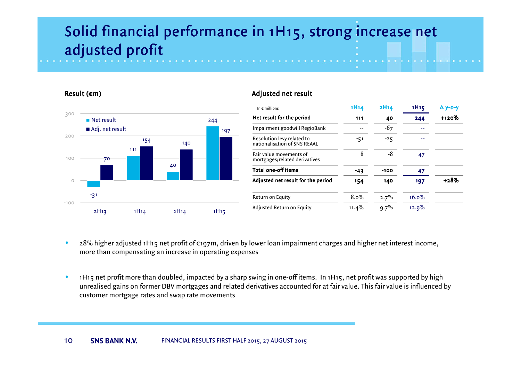## Solid financial performance in 1H15, strong increase net adjusted profit

#### Result  $(\epsilon m)$



#### Adjusted net resul<mark>t</mark>

| In $\epsilon$ millions                                     | 1H14     | 2H14    | 1H <sub>15</sub> | $\Delta$ y-o-y |
|------------------------------------------------------------|----------|---------|------------------|----------------|
| Net result for the period                                  | 111      | 40      | 244              | $+120%$        |
| Impairment goodwill RegioBank                              |          | -67     |                  |                |
| Resolution levy related to<br>nationalisation of SNS REAAL | -51      | $-25$   |                  |                |
| Fair value movements of<br>mortgages/related derivatives   | 8        | -8      | 47               |                |
| Total one-off items                                        | -43      | $-100$  | 47               |                |
| Adjusted net result for the period                         | 154      | 140     | 197              | +28%           |
| Return on Equity                                           | 8.0%     | 2.7%    | 16.0%            |                |
| Adjusted Return on Equity                                  | $11.4\%$ | $9.7\%$ | 12.9%            |                |

- • 28% higher adjusted 1H15 net profit of €197m, driven by lower loan impairment charges and higher net interest income, more than compensating an increase in operating expenses
- • 1H15 net profit more than doubled, impacted by a sharp swing in one-off items. In 1H15, net profit was supported by high unrealised gains on former DBV mortgages and related derivatives accounted for at fair value. This fair value is influenced by customer mortgage rates and swap rate movements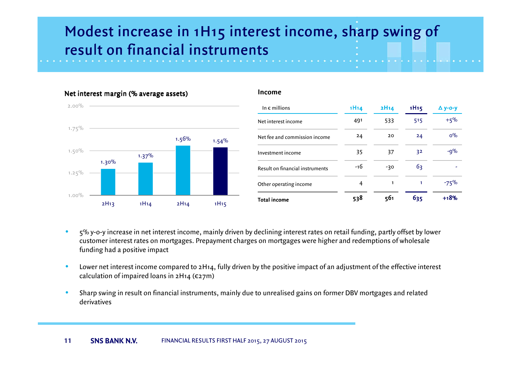## Modest increase in 1H15 interest income, sharp swing of result on financial instruments



- • <sup>5</sup>% y-o-y increase in net interest income, mainly driven by declining interest rates on retail funding, partly offset by lower customer interest rates on mortgages. Prepayment charges on mortgages were higher and redemptions of wholesale funding had a positive impact
- • Lower net interest income compared to 2H14, fully driven by the positive impact of an adjustment of the effective interest calculation of impaired loans in  $2H14$  ( $\epsilon$ 27m)
- • Sharp swing in result on financial instruments, mainly due to unrealised gains on former DBV mortgages and related derivatives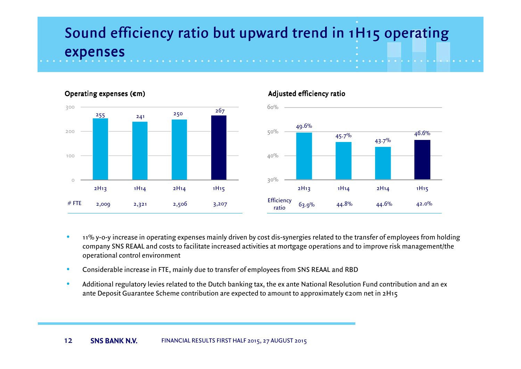## Sound efficiency ratio but upward trend in 1H15 operating expenses



#### Operating expenses (€m)

#### Adjusted efficiency ratio



- • 11% y-o-y increase in operating expenses mainly driven by cost dis-synergies related to the transfer of employees from holding company SNS REAAL and costs to facilitate increased activities at mortgage operations and to improve risk management/the operational control environment
- •Considerable increase in FTE, mainly due to transfer of employees from SNS REAAL and RBD
- • Additional regulatory levies related to the Dutch banking tax, the ex ante National Resolution Fund contribution and an ex ante Deposit Guarantee Scheme contribution are expected to amount to approximately €20m net in 2H15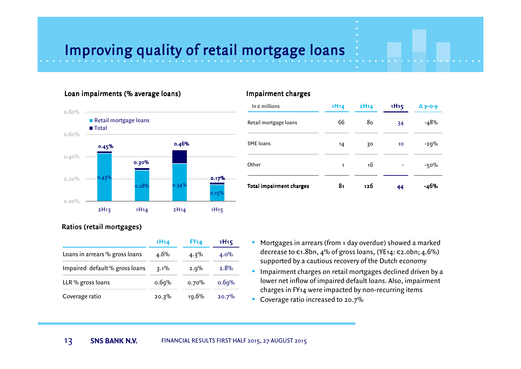## Improving quality of retail mortgage loans

#### Loan impairments (% average loans)



### In  $\epsilon$  millions 1H14 2H14 1H15  $\Delta$  y-o-y Retail mortgage loans 66 80 34 -48% SME loans  $14$  30  $10$  -29% **Other**  $1$  16 -  $-50\%$ Total impairment charges<sup>81</sup> <sup>126</sup> <sup>44</sup> -46%

#### Ratios ( retail mortgages)

|                                | 1H14    | <b>FY14</b> | 1H <sub>15</sub> |  |
|--------------------------------|---------|-------------|------------------|--|
| Loans in arrears % gross loans | $4.6\%$ | $4.3\%$     | $4.0\%$          |  |
| Impaired default% gross loans  | $3.1\%$ | 2.0%        | 2.8%             |  |
| LLR % gross loans              | 0.69%   | 0.70%       | 0.69%            |  |
| Coverage ratio                 | 20.3%   | 19.6%       | 20.7%            |  |

- Mortgages in arrears (from 1 day overdue) showed a marked decrease to €1.8bn, 4% of gross loans, (YE14: €2.0bn; 4.6%) supported by a cautious recovery of the Dutch economy
- $\bullet$  Impairment charges on retail mortgages declined driven by a lower net inflow of impaired default loans. Also, impairment charges in FY14 were impacted by non-recurring items
- $\bullet$  Coverage ratio increased to 20.7%

Impairment charges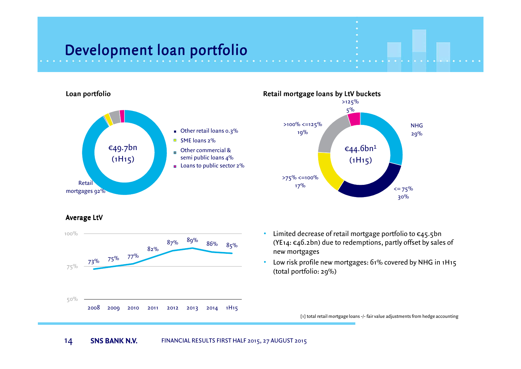# Development loan portfolio



Average LtV





• Limited decrease of retail mortgage portfolio to €45.5bn (YE14:  $\epsilon$ 46.2bn) due to redemptions, partly offset by sales of new mortgages

• Low risk profile new mortgages: 61% covered by NHG in 1H15 (total portfolio: 29%)

[1] total retail mortgage loans -/- fair value adjustments from hedge accounting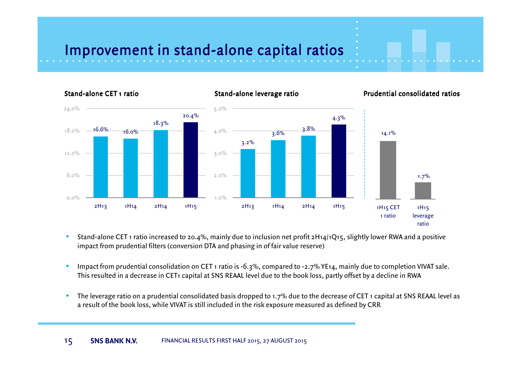## Improvement in stand-alone capital ratios



- • Stand-alone CET 1 ratio increased to 20.4%, mainly due to inclusion net profit 2H14/1Q15, slightly lower RWA and a positive impact from prudential filters (conversion DTA and phasing in of fair value reserve)
- • Impact from prudential consolidation on CET 1 ratio is -6.3%, compared to -2.7% YE14, mainly due to completion VIVAT sale. This resulted in a decrease in CET1 capital at SNS REAAL level due to the book loss, partly offset by a decline in RWA
- • The leverage ratio on a prudential consolidated basis dropped to 1.7% due to the decrease of CET 1 capital at SNS REAAL level as a result of the book loss, while VIVAT is still included in the risk exposure measured as defined by CRR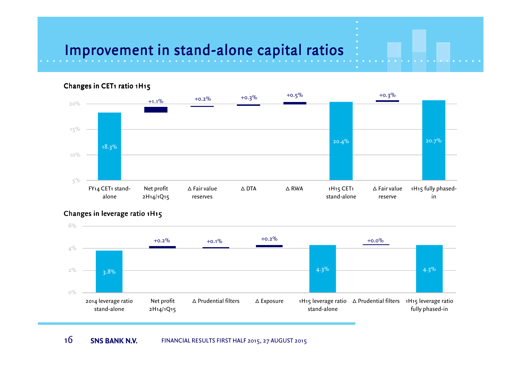## Improvement in stand-alone capital ratios



#### Changes in CET1 ratio 1H15

#### Changes in leverage ratio 1H15

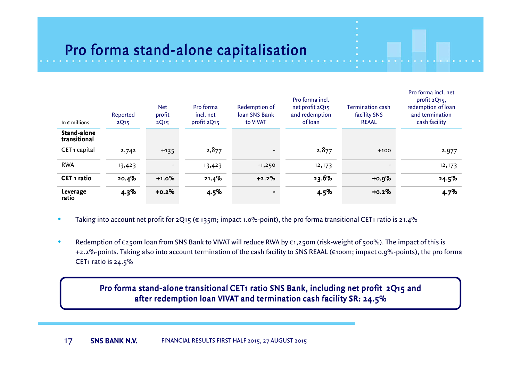# Pro forma stand-alone capitalisation

| In $\epsilon$ millions      | Reported<br>2Q <sub>15</sub> | <b>Net</b><br>profit<br>2Q15 | Pro forma<br>incl. net<br>profit 2Q15 | Redemption of<br>Joan SNS Bank<br>to VIVAT | Pro forma incl.<br>net profit 2Q15<br>and redemption<br>ofloan | Termination cash<br>facility SNS<br><b>REAAL</b> | Pro forma incl. net<br>profit 2Q15,<br>redemption of loan<br>and termination<br>cash facility |
|-----------------------------|------------------------------|------------------------------|---------------------------------------|--------------------------------------------|----------------------------------------------------------------|--------------------------------------------------|-----------------------------------------------------------------------------------------------|
| Stand-alone<br>transitional |                              |                              |                                       |                                            |                                                                |                                                  |                                                                                               |
| CET <sub>1</sub> capital    | 2,742                        | $+135$                       | 2,877                                 |                                            | 2,877                                                          | $+100$                                           | 2,977                                                                                         |
| <b>RWA</b>                  | 13,423                       | -                            | 13,423                                | $-1,250$                                   | 12,173                                                         |                                                  | 12,173                                                                                        |
| CET <sub>1</sub> ratio      | 20.4%                        | $+1.0%$                      | 21.4%                                 | $+2.2%$                                    | 23.6%                                                          | $+0.9%$                                          | 24.5%                                                                                         |
| Leverage<br>ratio           | 4.3%                         | $+0.2%$                      | 4.5%                                  |                                            | 4.5%                                                           | $+0.2%$                                          | 4.7%                                                                                          |

- •Taking into account net profit for 2Q15 ( $\epsilon$  135m; impact 1.0%-point), the pro forma transitional CET1 ratio is 21.4%
- •Redemption of €250m loan from SNS Bank to VIVAT will reduce RWA by €1,250m (risk-weight of 500%). The impact of this is +2.2%-points. Taking also into account termination of the cash facility to SNS REAAL (€100m; impact 0.9%-points), the pro forma CET1 ratio is 24.5%

Pro forma stand-alone transitional CET1 ratio SNS Bank, including net profit 2Q15 and after redemption loan VIVAT and termination cash facility SR: 24.5%  $\,$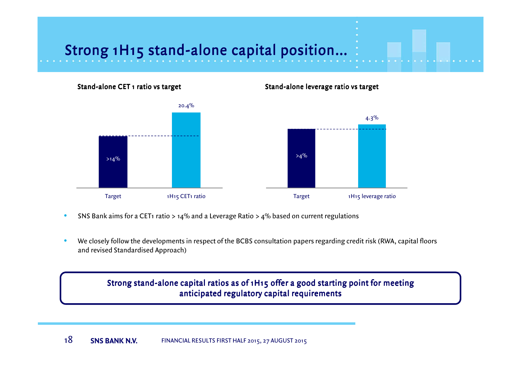# Strong 1H15 stand-alone capital position…



- $\bullet$ SNS Bank aims for a CET1 ratio > 14% and a Leverage Ratio > 4% based on current regulations
- • We closely follow the developments in respect of the BCBS consultation papers regarding credit risk (RWA, capital floors and revised Standardised Approach)

Strong stand-alone capital ratios as of 1H15 offer a good starting point for meeting anticipated regulatory capital requirements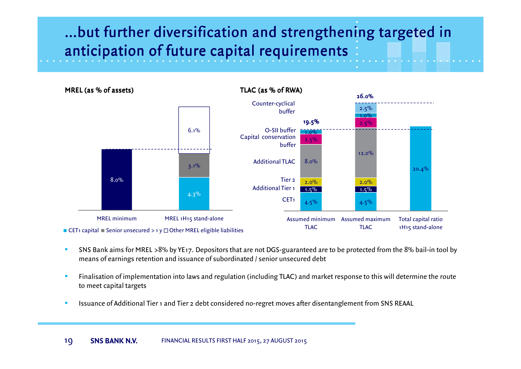## …but further diversification and strengthening targeted in anticipation of future capital requirements

4.5% 4.5%20.4%1.5% 1.5%  $\frac{2.0\%}{1.5\%}$   $\frac{2.0\%}{1.5\%}$ 8.0%12.0%2.5% 2.5 $\%$ 1.0 $\%$ 1.0 $\%$ 2.5%Assumed minimum Assumed maximum TLACTLACTotal capital ratio 1H15 stand-aloneTLAC (as % of RWA)CET<sub>1</sub> Additional Tier 1 Tier 2Additional TLACCapital conservation bufferO-SII bufferCounter-cyclicalbuffer19.5%26.0%8.0%4.3%3.1%6.1%MREL minimum MREL 1H15 stand-alone <code>CET</code>1 capital  $\blacksquare$  Senior unsecured  $>$  1 y  $\Box$  Other MREL eligible liabilities MREL (as % of assets)

- • SNS Bank aims for MREL >8% by YE17. Depositors that are not DGS-guaranteed are to be protected from the 8% bail-in tool by means of earnings retention and issuance of subordinated / senior unsecured debt
- • Finalisation of implementation into laws and regulation (including TLAC) and market response to this will determine the route to meet capital targets
- •Issuance of Additional Tier 1 and Tier 2 debt considered no-regret moves after disentanglement from SNS REAAL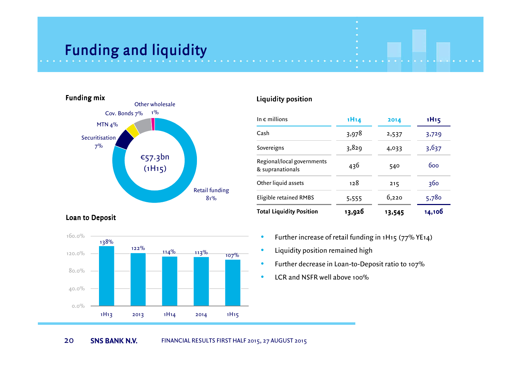## Funding and liquidity



| In $\epsilon$ millions                         | 1H14   | 2014   | 1H <sub>15</sub> |
|------------------------------------------------|--------|--------|------------------|
| Cash                                           | 3,978  | 2,537  | 3,729            |
| Sovereigns                                     | 3,829  | 4,033  | 3,637            |
| Regional/local governments<br>& supranationals | 436    | 540    | 600              |
| Other liquid assets                            | 128    | 215    | 360              |
| Eligible retained RMBS                         | 5,555  | 6,220  | 5,780            |
| <b>Total Liquidity Position</b>                | 13,926 | 13,545 | 14,106           |

Loan to Deposit



- •Further increase of retail funding in 1H15 (77% YE14)
- •Liquidity position remained high
- •Further decrease in Loan-to-Deposit ratio to 107%
- •LCR and NSFR well above 100%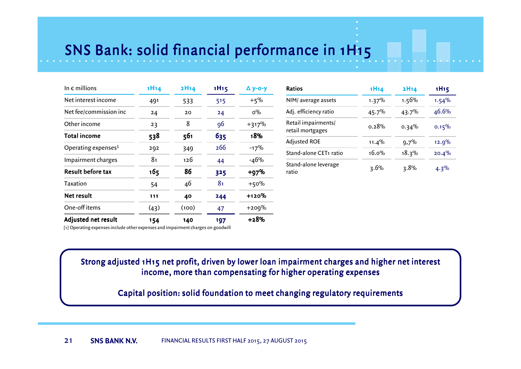# SNS Bank: solid financial performance in 1H15

| In $\epsilon$ millions          | 1H14 | 2H14  | 1H <sub>15</sub> | $\Delta$ y-o-y |
|---------------------------------|------|-------|------------------|----------------|
| Net interest income             | 491  | 533   | 515              | $+5%$          |
| Net fee/commission inc          | 24   | 20    | 24               | $0\%$          |
| Other income                    | 23   | 8     | 96               | $+317%$        |
| Total income                    | 538  | 561   | 635              | 18%            |
| Operating expenses <sup>1</sup> | 292  | 349   | 266              | $-17%$         |
| Impairment charges              | 81   | 126   | 44               | $-46%$         |
| Result before tax               | 165  | 86    | 325              | $+97%$         |
| Taxation                        | 54   | 46    | 8 <sub>1</sub>   | $+50%$         |
| Net result                      | 111  | 40    | 244              | +120%          |
| One-off items                   | (43) | (100) | 47               | $+200%$        |
| Adjusted net result             | 154  | 140   | 197              | +28%           |

| Ratios                                  | 1H14     | <b>2H14</b> | 1H <sub>15</sub> |
|-----------------------------------------|----------|-------------|------------------|
| NIM/ average assets                     | 1.37%    | 1.56%       | 1.54%            |
| Adj. efficiency ratio                   | 45.7%    | 43.7%       | 46.6%            |
| Retail impairments/<br>retail mortgages | ი.28%    | $0.34\%$    | 0.15%            |
| Adjusted ROE                            | 11.4%    | 9,7%        | 12.9%            |
| Stand-alone CET1 ratio                  | $16.0\%$ | 18.3%       | 20.4%            |
| Stand-alone leverage<br>ratio           | $3.6\%$  | 3.8%        | $4.3\%$          |

[1] Operating expenses include other expenses and impairment charges on goodwill

#### Strong adjusted 1H15 net profit, driven by lower loan impairment charges and higher net interest income, more than compensating for higher operating expenses

Capital position: solid foundation to meet changing regulatory requirements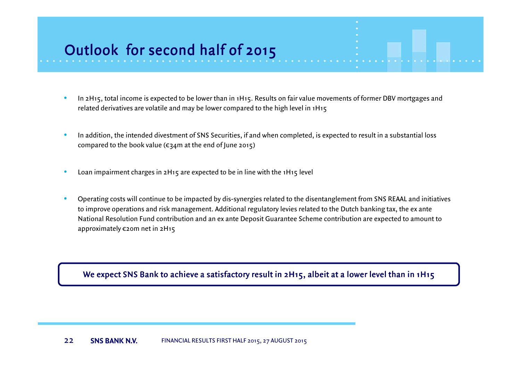# Outlook for second half of 2015

- $\bullet$  In 2H15, total income is expected to be lower than in 1H15. Results on fair value movements of former DBV mortgages andrelated derivatives are volatile and may be lower compared to the high level in 1H15
- • In addition, the intended divestment of SNS Securities, if and when completed, is expected to result in a substantial loss compared to the book value ( $\varepsilon$ 34m at the end of June 2015)
- $\bullet$ Loan impairment charges in 2H15 are expected to be in line with the 1H15 level
- • Operating costs will continue to be impacted by dis-synergies related to the disentanglement from SNS REAAL and initiatives to improve operations and risk management. Additional regulatory levies related to the Dutch banking tax, the ex ante National Resolution Fund contribution and an ex ante Deposit Guarantee Scheme contribution are expected to amount to approximately €20m net in 2H15

We expect SNS Bank to achieve a satisfactory result in 2H15, albeit at a lower level than in 1H15  $\,$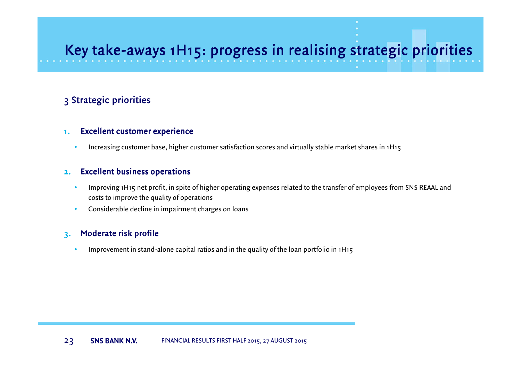## Key take-aways 1H15: progress in realising strategic priorities

#### 3 Strategic priorities

#### 1. $.$  Excellent customer experience

•Increasing customer base, higher customer satisfaction scores and virtually stable market shares in 1H15

#### 2.Excellent business operations

- • Improving 1H15 net profit, in spite of higher operating expenses related to the transfer of employees from SNS REAAL and costs to improve the quality of operations
- •Considerable decline in impairment charges on loans

#### 3.Moderate risk profile

•Improvement in stand-alone capital ratios and in the quality of the loan portfolio in 1H15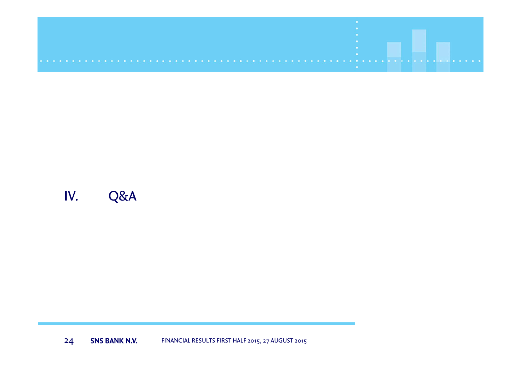## IV. Q&A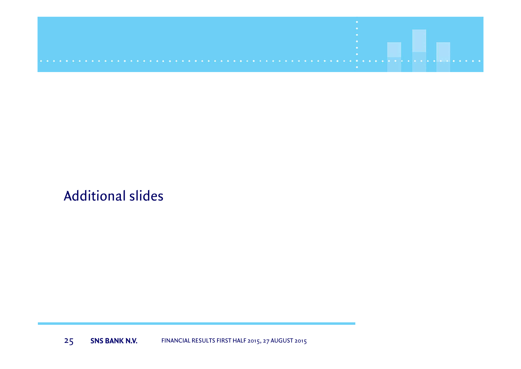

## Additional slides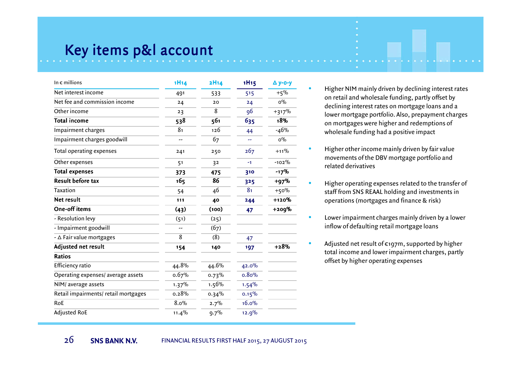## Key items p&l account

| In $\epsilon$ millions               | 1H14           | 2H14           | <b>1H15</b>    | $\Delta$ y-o-y |
|--------------------------------------|----------------|----------------|----------------|----------------|
| Net interest income                  | 491            | 533            | 515            | $+5%$          |
| Net fee and commission income        | 24             | 20             | 24             | $0\%$          |
| Other income                         | 23             | $\overline{8}$ | 96             | $+317%$        |
| <b>Total income</b>                  | 538            | 561            | 635            | 18%            |
| Impairment charges                   | 8 <sub>1</sub> | 126            | 44             | $-46%$         |
| Impairment charges goodwill          |                | 67             | --             | $0\%$          |
| Total operating expenses             | 241            | 250            | 267            | $+11\%$        |
| Other expenses                       | 51             | 32             | $-1$           | $-102%$        |
| <b>Total expenses</b>                | 373            | 475            | 310            | $-17%$         |
| <b>Result before tax</b>             | 165            | 86             | 325            | $+97%$         |
| Taxation                             | 54             | 46             | 8 <sub>1</sub> | $+50%$         |
| Net result                           | 111            | 40             | 244            | +120%          |
| One-off items                        | (43)           | (100)          | 47             | $+209%$        |
| - Resolution levy                    | (51)           | (25)           |                |                |
| - Impairment goodwill                | --             | (67)           |                |                |
| - ∆ Fair value mortgages             | 8              | (8)            | 47             |                |
| Adjusted net result                  | 154            | 140            | 197            | $+28%$         |
| Ratios                               |                |                |                |                |
| Efficiency ratio                     | 44.8%          | 44.6%          | 42.0%          |                |
| Operating expenses/ average assets   | 0.67%          | 0.73%          | 0.80%          |                |
| NIM/average assets                   | 1.37%          | 1.56%          | 1.54%          |                |
| Retail impairments/ retail mortgages | 0.28%          | 0.34%          | 0.15%          |                |
| RoE                                  | 8.0%           | 2.7%           | 16.0%          |                |
| <b>Adjusted RoE</b>                  | 11.4%          | 9.7%           | 12.9%          |                |

 Higher NIM mainly driven by declining interest rates on retail and wholesale funding, partly offset by declining interest rates on mortgage loans and a lower mortgage portfolio. Also, prepayment charges on mortgages were higher and redemptions of wholesale funding had a positive impact

•

•

•

- Higher other income mainly driven by fair value movements of the DBV mortgage portfolio and related derivatives
- • Higher operating expenses related to the transfer of staff from SNS REAAL holding and investments in operations (mortgages and finance & risk)
	- Lower impairment charges mainly driven by a lower inflow of defaulting retail mortgage loans
- •Adjusted net result of €197m, supported by higher total income and lower impairment charges, partly offset by higher operating expenses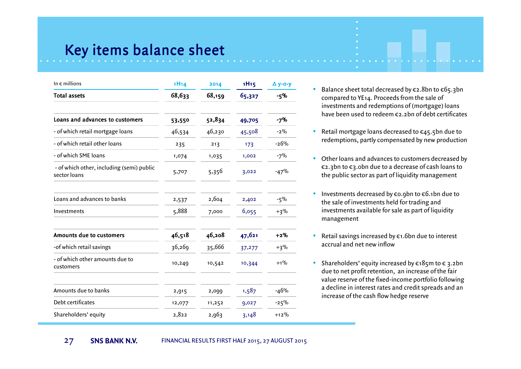### Key items balance sheet

| In $\epsilon$ millions                                    | 1H14   | 2014   | <b>1H15</b> | $\Delta$ y-o-y |
|-----------------------------------------------------------|--------|--------|-------------|----------------|
| <b>Total assets</b>                                       | 68,633 | 68,159 | 65,327      | -5%            |
| Loans and advances to customers                           | 53,550 | 52,834 | 49,705      | $-7%$          |
| - of which retail mortgage loans                          | 46,534 | 46,230 | 45,508      | $-2\%$         |
| - of which retail other loans                             | 235    | 213    | 173         | $-26%$         |
| - of which SME loans                                      | 1,074  | 1,035  | 1,002       | $-7%$          |
| - of which other, including (semi) public<br>sector loans | 5,707  | 5,356  | 3,022       | $-47%$         |
| Loans and advances to banks                               | 2,537  | 2,604  | 2,402       | $-5%$          |
| Investments                                               | 5,888  | 7,000  | 6,055       | $+3%$          |
| Amounts due to customers                                  | 46,518 | 46,208 | 47,621      | $+2%$          |
| -of which retail savings                                  | 36,269 | 35,666 | 37,277      | $+3%$          |
| - of which other amounts due to<br>customers              | 10,249 | 10,542 | 10,344      | $+1%$          |
| Amounts due to banks                                      | 2,915  | 2,000  | 1,587       | $-46%$         |
| Debt certificates                                         | 12,077 | 11,252 | 9,027       | $-25%$         |
| Shareholders' equity                                      | 2,822  | 2,963  | 3,148       | $+12\%$        |

- Balance sheet total decreased by €2.8bn to €65.3bn compared to YE14. Proceeds from the sale of investments and redemptions of (mortgage) loans have been used to redeem €2.2bn of debt certificates
- Retail mortgage loans decreased to €45.5bn due to redemptions, partly compensated by new production
- Other loans and advances to customers decreased by €2.3bn to €3.0bn due to a decrease of cash loans to the public sector as part of liquidity management
- Investments decreased by €0.9bn to €6.1bn due to the sale of investments held for trading and investments available for sale as part of liquidity management
- Retail savings increased by €1.6bn due to interest accrual and net new inflow
- Shareholders' equity increased by  $\epsilon_18$ 5m to  $\epsilon_3$ .2bn due to net profit retention, an increase of the fair value reserve of the fixed-income portfolio following a decline in interest rates and credit spreads and an increase of the cash flow hedge reserve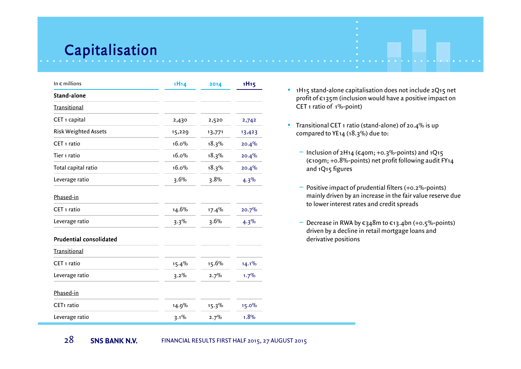### Capitalisation

28

| In $\epsilon$ millions         | 1H14   | 2014     | <b>1H15</b> |
|--------------------------------|--------|----------|-------------|
| Stand-alone                    |        |          |             |
| <b>Transitional</b>            |        |          |             |
| CET 1 capital                  | 2,430  | 2,520    | 2,742       |
| <b>Risk Weighted Assets</b>    | 15,229 | 13,771   | 13,423      |
| CET <sub>1</sub> ratio         | 16.0%  | 18.3%    | 20.4%       |
| Tier 1 ratio                   | 16.0%  | 18.3%    | 20.4%       |
| Total capital ratio            | 16.0%  | 18.3%    | 20.4%       |
| Leverage ratio                 | 3.6%   | 3.8%     | 4.3%        |
| Phased-in                      |        |          |             |
| CET <sub>1</sub> ratio         | 14.6%  | 17.4%    | 20.7%       |
| Leverage ratio                 | 3.3%   | 3.6%     | 4.3%        |
| <b>Prudential consolidated</b> |        |          |             |
| <b>Transitional</b>            |        |          |             |
| CET 1 ratio                    | 15.4%  | 15.6%    | 14.1%       |
| Leverage ratio                 | 3.2%   | 2.7%     | 1.7%        |
| Phased-in                      |        |          |             |
| CET <sub>1</sub> ratio         | 14.9%  | $15.3\%$ | 15.0%       |
| Leverage ratio                 | 3.1%   | 2.7%     | 1.8%        |

- 1H15 stand-alone capitalisation does not include 2Q15 net profit of €135m (inclusion would have a positive impact on CET 1 ratio of 1%-point)
- Transitional CET 1 ratio (stand-alone) of 20.4% is up compared to YE14 (18.3%) due to:
	- − Inclusion of 2H14 (€40m; +0.3%-points) and 1Q15 (€109m; +0.8%-points) net profit following audit FY14 and 1Q15 figures
	- − Positive impact of prudential filters (+0.2%-points) mainly driven by an increase in the fair value reserve due to lower interest rates and credit spreads
	- Decrease in RWA by €348m to €13.4bn (+0.5%-points) driven by a decline in retail mortgage loans and derivative positions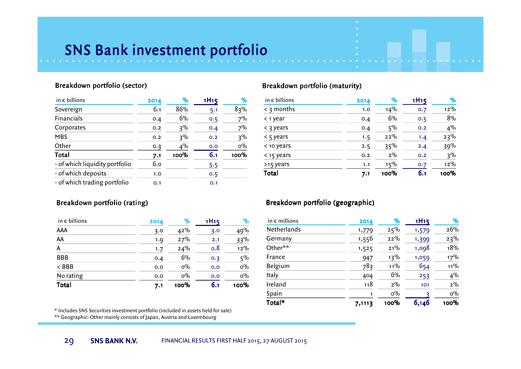## SNS Bank investment portfolio

#### Breakdown portfolio (sector)

| in $\epsilon$ billions         | 2014 | %    | 1H <sub>15</sub> | %     |
|--------------------------------|------|------|------------------|-------|
| Sovereign                      | 6.1  | 86%  | 5.1              | 83%   |
| Financials                     | 0.4  | 6%   | 0.5              | 7%    |
| Corporates                     | 0.2  | 3%   | 0.4              | 7%    |
| <b>MBS</b>                     | 0.2  | 3%   | 0.2              | 3%    |
| Other                          | 0.3  | 4%   | 0.0              | $0\%$ |
| Total                          | 7.1  | 100% | 6.1              | 100%  |
| - of which liquidity portfolio | 6.0  |      | 5.5              |       |
| - of which deposits            | 1.0  |      | 0.5              |       |
| - of which trading portfolio   | 0.1  |      | 0.1              |       |

#### Breakdown portfolio (rating)

| Total                  | 7.1  | 100%  | 6.1              | 100%  |
|------------------------|------|-------|------------------|-------|
| No rating              | 0.0  | $0\%$ | 0.0              | $0\%$ |
| $<$ BBB                | 0.0  | $0\%$ | 0.0              | $0\%$ |
| <b>BBB</b>             | 0.4  | 6%    | 0.3              | 5%    |
| A                      | 1.7  | 24%   | 0.8              | 12%   |
| AA                     | 1.9  | 27%   | 2.1              | 33%   |
| AAA                    | 3.0  | 42%   | 3.0              | 49%   |
| in $\epsilon$ billions | 2014 | %     | 1H <sub>15</sub> | %     |

\* Includes SNS Securities investment portfolio (included in assets held for sale)

\*\* Geographic: Other mainly consists of Japan, Austria and Luxembourg

#### Breakdown portfolio (maturity)

| in $\epsilon$ billions | 2014 | %     | 1H <sub>15</sub> | $\%$   |
|------------------------|------|-------|------------------|--------|
| $\leq$ 3 months        | 1.0  | 14%   | 0.7              | $12\%$ |
| $\leq$ 1 year          | 0.4  | 6%    | 0.5              | 8%     |
| $\leq$ 3 years         | 0.4  | $5\%$ | 0.2              | 4%     |
| $\leq$ 5 years         | 1.5  | 22%   | 1.4              | 23%    |
| < 10 years             | 2.5  | 35%   | 2.4              | 39%    |
| $<$ 15 years           | 0.2  | $2\%$ | 0.2              | 3%     |
| >15 years              | 1.1  | 15%   | 0.7              | $12\%$ |
| Total                  | 7.1  | 100%  | 6.1              | 100%   |

#### Breakdown portfolio (geographic)

| Total*                 | 7,1113 | 100%   | 6,146            | 100%   |
|------------------------|--------|--------|------------------|--------|
| Spain                  | 1      | $0\%$  |                  | $0\%$  |
| Ireland                | 118    | $2\%$  | 101              | $2\%$  |
| Italy                  | 404    | 6%     | 253              | 4%     |
| Belgium                | 783    | $11\%$ | 654              | $11\%$ |
| France                 | 947    | 13%    | 1,059            | 17%    |
| Other**                | 1,525  | 21%    | 1,098            | 18%    |
| Germany                | 1,556  | 22%    | 1,399            | 23%    |
| Netherlands            | 1,779  | 25%    | 1,579            | 26%    |
| in $\epsilon$ millions | 2014   | $\%$   | 1H <sub>15</sub> | %      |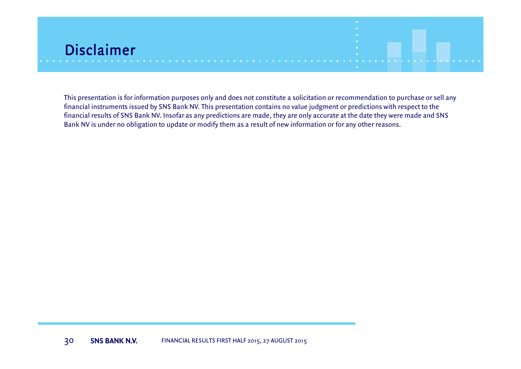

This presentation is for information purposes only and does not constitute a solicitation or recommendation to purchase or sell any financial instruments issued by SNS Bank NV. This presentation contains no value judgment or predictions with respect to the financial results of SNS Bank NV. Insofar as any predictions are made, they are only accurate at the date they were made and SNSBank NV is under no obligation to update or modify them as a result of new information or for any other reasons.